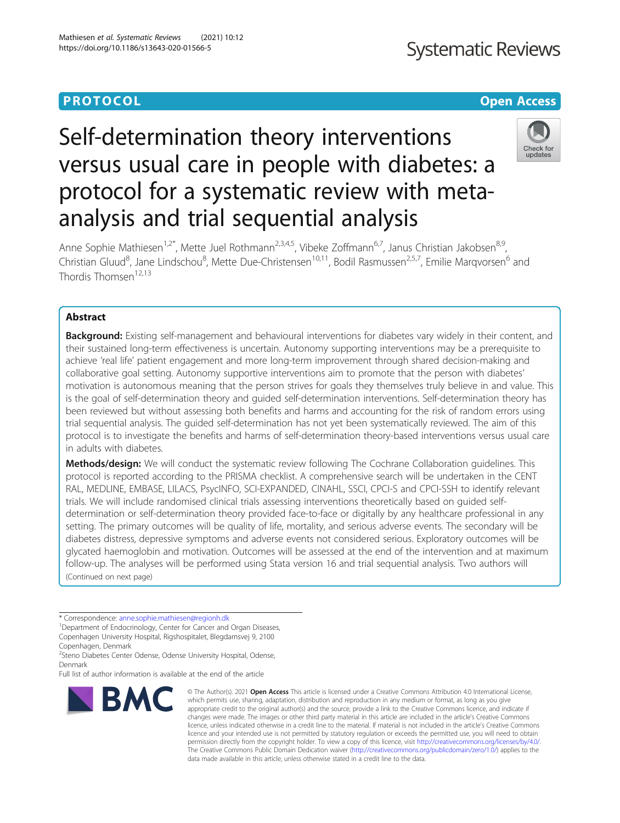# **PROTOCOL CONSUMING THE CONSUMING TEACHER CONSUMING THE CONSUMING TEACHER CONSUMING THE CONSUMING TEACHER CONSUMING**

# **Systematic Reviews**

# Check for undates

Anne Sophie Mathiesen<sup>1,2\*</sup>, Mette Juel Rothmann<sup>2,3,4,5</sup>, Vibeke Zoffmann<sup>6,7</sup>, Janus Christian Jakobsen<sup>8,9</sup>, Christian Gluud<sup>8</sup>, Jane Lindschou<sup>8</sup>, Mette Due-Christensen<sup>10,11</sup>, Bodil Rasmussen<sup>2,5,7</sup>, Emilie Marqvorsen<sup>6</sup> and Thordis Thomsen<sup>12,13</sup>

Self-determination theory interventions

analysis and trial sequential analysis

versus usual care in people with diabetes: a

protocol for a systematic review with meta-

# Abstract

Background: Existing self-management and behavioural interventions for diabetes vary widely in their content, and their sustained long-term effectiveness is uncertain. Autonomy supporting interventions may be a prerequisite to achieve 'real life' patient engagement and more long-term improvement through shared decision-making and collaborative goal setting. Autonomy supportive interventions aim to promote that the person with diabetes' motivation is autonomous meaning that the person strives for goals they themselves truly believe in and value. This is the goal of self-determination theory and guided self-determination interventions. Self-determination theory has been reviewed but without assessing both benefits and harms and accounting for the risk of random errors using trial sequential analysis. The guided self-determination has not yet been systematically reviewed. The aim of this protocol is to investigate the benefits and harms of self-determination theory-based interventions versus usual care in adults with diabetes.

Methods/design: We will conduct the systematic review following The Cochrane Collaboration quidelines. This protocol is reported according to the PRISMA checklist. A comprehensive search will be undertaken in the CENT RAL, MEDLINE, EMBASE, LILACS, PsycINFO, SCI-EXPANDED, CINAHL, SSCI, CPCI-S and CPCI-SSH to identify relevant trials. We will include randomised clinical trials assessing interventions theoretically based on guided selfdetermination or self-determination theory provided face-to-face or digitally by any healthcare professional in any setting. The primary outcomes will be quality of life, mortality, and serious adverse events. The secondary will be diabetes distress, depressive symptoms and adverse events not considered serious. Exploratory outcomes will be glycated haemoglobin and motivation. Outcomes will be assessed at the end of the intervention and at maximum follow-up. The analyses will be performed using Stata version 16 and trial sequential analysis. Two authors will (Continued on next page)

Full list of author information is available at the end of the article



<sup>©</sup> The Author(s), 2021 **Open Access** This article is licensed under a Creative Commons Attribution 4.0 International License, which permits use, sharing, adaptation, distribution and reproduction in any medium or format, as long as you give appropriate credit to the original author(s) and the source, provide a link to the Creative Commons licence, and indicate if changes were made. The images or other third party material in this article are included in the article's Creative Commons licence, unless indicated otherwise in a credit line to the material. If material is not included in the article's Creative Commons licence and your intended use is not permitted by statutory regulation or exceeds the permitted use, you will need to obtain permission directly from the copyright holder. To view a copy of this licence, visit [http://creativecommons.org/licenses/by/4.0/.](http://creativecommons.org/licenses/by/4.0/) The Creative Commons Public Domain Dedication waiver [\(http://creativecommons.org/publicdomain/zero/1.0/](http://creativecommons.org/publicdomain/zero/1.0/)) applies to the data made available in this article, unless otherwise stated in a credit line to the data.

<sup>\*</sup> Correspondence: [anne.sophie.mathiesen@regionh.dk](mailto:anne.sophie.mathiesen@regionh.dk) <sup>1</sup>

<sup>&</sup>lt;sup>1</sup>Department of Endocrinology, Center for Cancer and Organ Diseases, Copenhagen University Hospital, Rigshospitalet, Blegdamsvej 9, 2100

Copenhagen, Denmark

<sup>2</sup> Steno Diabetes Center Odense, Odense University Hospital, Odense, Denmark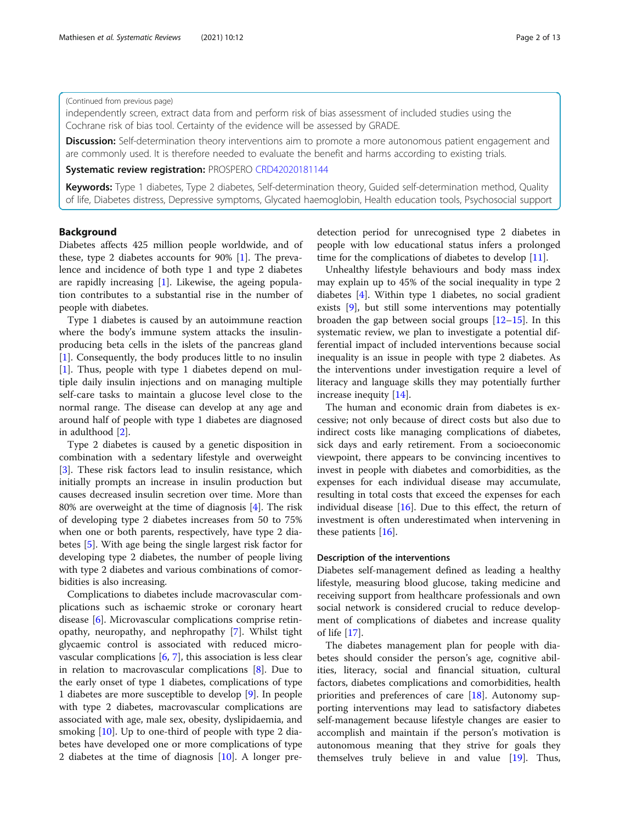### (Continued from previous page)

independently screen, extract data from and perform risk of bias assessment of included studies using the Cochrane risk of bias tool. Certainty of the evidence will be assessed by GRADE.

Discussion: Self-determination theory interventions aim to promote a more autonomous patient engagement and are commonly used. It is therefore needed to evaluate the benefit and harms according to existing trials.

# Systematic review registration: PROSPERO [CRD42020181144](https://www.crd.york.ac.uk/prospero/export_details_pdf.php)

Keywords: Type 1 diabetes, Type 2 diabetes, Self-determination theory, Guided self-determination method, Quality of life, Diabetes distress, Depressive symptoms, Glycated haemoglobin, Health education tools, Psychosocial support

# Background

Diabetes affects 425 million people worldwide, and of these, type 2 diabetes accounts for 90% [\[1](#page-10-0)]. The prevalence and incidence of both type 1 and type 2 diabetes are rapidly increasing [[1\]](#page-10-0). Likewise, the ageing population contributes to a substantial rise in the number of people with diabetes.

Type 1 diabetes is caused by an autoimmune reaction where the body's immune system attacks the insulinproducing beta cells in the islets of the pancreas gland [[1\]](#page-10-0). Consequently, the body produces little to no insulin [[1\]](#page-10-0). Thus, people with type 1 diabetes depend on multiple daily insulin injections and on managing multiple self-care tasks to maintain a glucose level close to the normal range. The disease can develop at any age and around half of people with type 1 diabetes are diagnosed in adulthood [\[2](#page-10-0)].

Type 2 diabetes is caused by a genetic disposition in combination with a sedentary lifestyle and overweight [[3\]](#page-10-0). These risk factors lead to insulin resistance, which initially prompts an increase in insulin production but causes decreased insulin secretion over time. More than 80% are overweight at the time of diagnosis [[4\]](#page-10-0). The risk of developing type 2 diabetes increases from 50 to 75% when one or both parents, respectively, have type 2 diabetes [[5\]](#page-10-0). With age being the single largest risk factor for developing type 2 diabetes, the number of people living with type 2 diabetes and various combinations of comorbidities is also increasing.

Complications to diabetes include macrovascular complications such as ischaemic stroke or coronary heart disease [[6\]](#page-10-0). Microvascular complications comprise retinopathy, neuropathy, and nephropathy [\[7](#page-10-0)]. Whilst tight glycaemic control is associated with reduced microvascular complications  $[6, 7]$  $[6, 7]$  $[6, 7]$  $[6, 7]$ , this association is less clear in relation to macrovascular complications [[8\]](#page-10-0). Due to the early onset of type 1 diabetes, complications of type 1 diabetes are more susceptible to develop [\[9](#page-10-0)]. In people with type 2 diabetes, macrovascular complications are associated with age, male sex, obesity, dyslipidaemia, and smoking [[10](#page-10-0)]. Up to one-third of people with type 2 diabetes have developed one or more complications of type 2 diabetes at the time of diagnosis [[10](#page-10-0)]. A longer predetection period for unrecognised type 2 diabetes in people with low educational status infers a prolonged time for the complications of diabetes to develop [[11\]](#page-10-0).

Unhealthy lifestyle behaviours and body mass index may explain up to 45% of the social inequality in type 2 diabetes [\[4](#page-10-0)]. Within type 1 diabetes, no social gradient exists [\[9](#page-10-0)], but still some interventions may potentially broaden the gap between social groups  $[12-15]$  $[12-15]$  $[12-15]$ . In this systematic review, we plan to investigate a potential differential impact of included interventions because social inequality is an issue in people with type 2 diabetes. As the interventions under investigation require a level of literacy and language skills they may potentially further increase inequity [[14\]](#page-10-0).

The human and economic drain from diabetes is excessive; not only because of direct costs but also due to indirect costs like managing complications of diabetes, sick days and early retirement. From a socioeconomic viewpoint, there appears to be convincing incentives to invest in people with diabetes and comorbidities, as the expenses for each individual disease may accumulate, resulting in total costs that exceed the expenses for each individual disease  $[16]$  $[16]$ . Due to this effect, the return of investment is often underestimated when intervening in these patients [[16\]](#page-10-0).

### Description of the interventions

Diabetes self-management defined as leading a healthy lifestyle, measuring blood glucose, taking medicine and receiving support from healthcare professionals and own social network is considered crucial to reduce development of complications of diabetes and increase quality of life [\[17\]](#page-10-0).

The diabetes management plan for people with diabetes should consider the person's age, cognitive abilities, literacy, social and financial situation, cultural factors, diabetes complications and comorbidities, health priorities and preferences of care [\[18\]](#page-10-0). Autonomy supporting interventions may lead to satisfactory diabetes self-management because lifestyle changes are easier to accomplish and maintain if the person's motivation is autonomous meaning that they strive for goals they themselves truly believe in and value [\[19](#page-10-0)]. Thus,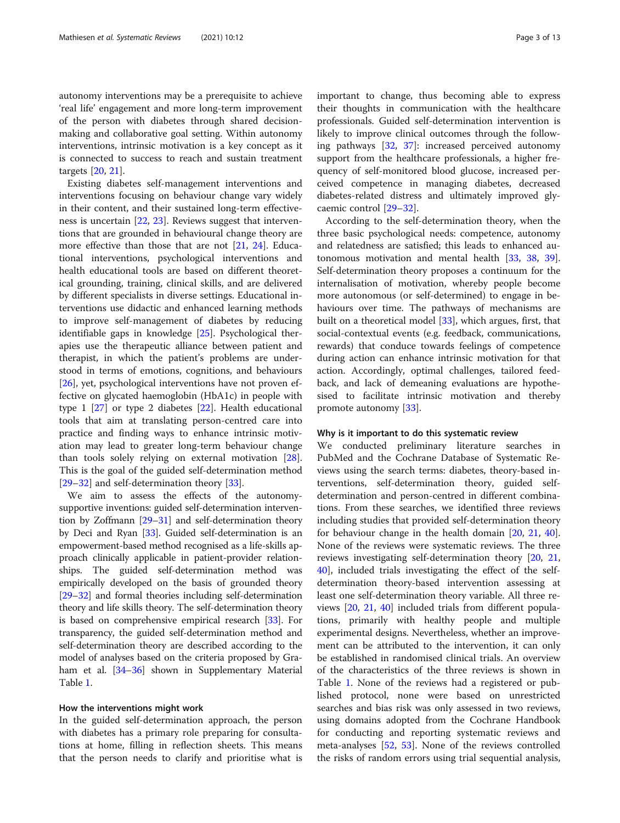autonomy interventions may be a prerequisite to achieve 'real life' engagement and more long-term improvement of the person with diabetes through shared decisionmaking and collaborative goal setting. Within autonomy interventions, intrinsic motivation is a key concept as it is connected to success to reach and sustain treatment targets [\[20,](#page-10-0) [21\]](#page-10-0).

Existing diabetes self-management interventions and interventions focusing on behaviour change vary widely in their content, and their sustained long-term effectiveness is uncertain [[22,](#page-10-0) [23\]](#page-10-0). Reviews suggest that interventions that are grounded in behavioural change theory are more effective than those that are not [[21](#page-10-0), [24\]](#page-10-0). Educational interventions, psychological interventions and health educational tools are based on different theoretical grounding, training, clinical skills, and are delivered by different specialists in diverse settings. Educational interventions use didactic and enhanced learning methods to improve self-management of diabetes by reducing identifiable gaps in knowledge [[25\]](#page-10-0). Psychological therapies use the therapeutic alliance between patient and therapist, in which the patient's problems are understood in terms of emotions, cognitions, and behaviours [[26\]](#page-11-0), yet, psychological interventions have not proven effective on glycated haemoglobin (HbA1c) in people with type 1 [[27](#page-11-0)] or type 2 diabetes [\[22](#page-10-0)]. Health educational tools that aim at translating person-centred care into practice and finding ways to enhance intrinsic motivation may lead to greater long-term behaviour change than tools solely relying on external motivation [\[28](#page-11-0)]. This is the goal of the guided self-determination method [[29](#page-11-0)–[32](#page-11-0)] and self-determination theory [[33](#page-11-0)].

We aim to assess the effects of the autonomysupportive inventions: guided self-determination intervention by Zoffmann [[29](#page-11-0)–[31\]](#page-11-0) and self-determination theory by Deci and Ryan [[33](#page-11-0)]. Guided self-determination is an empowerment-based method recognised as a life-skills approach clinically applicable in patient-provider relationships. The guided self-determination method was empirically developed on the basis of grounded theory [[29](#page-11-0)–[32\]](#page-11-0) and formal theories including self-determination theory and life skills theory. The self-determination theory is based on comprehensive empirical research [\[33](#page-11-0)]. For transparency, the guided self-determination method and self-determination theory are described according to the model of analyses based on the criteria proposed by Gra-ham et al. [\[34](#page-11-0)–[36](#page-11-0)] shown in Supplementary Material Table [1.](#page-10-0)

# How the interventions might work

In the guided self-determination approach, the person with diabetes has a primary role preparing for consultations at home, filling in reflection sheets. This means that the person needs to clarify and prioritise what is important to change, thus becoming able to express their thoughts in communication with the healthcare professionals. Guided self-determination intervention is likely to improve clinical outcomes through the following pathways [[32,](#page-11-0) [37\]](#page-11-0): increased perceived autonomy support from the healthcare professionals, a higher frequency of self-monitored blood glucose, increased perceived competence in managing diabetes, decreased diabetes-related distress and ultimately improved glycaemic control [[29](#page-11-0)–[32](#page-11-0)].

According to the self-determination theory, when the three basic psychological needs: competence, autonomy and relatedness are satisfied; this leads to enhanced autonomous motivation and mental health [[33,](#page-11-0) [38,](#page-11-0) [39](#page-11-0)]. Self-determination theory proposes a continuum for the internalisation of motivation, whereby people become more autonomous (or self-determined) to engage in behaviours over time. The pathways of mechanisms are built on a theoretical model [[33](#page-11-0)], which argues, first, that social-contextual events (e.g. feedback, communications, rewards) that conduce towards feelings of competence during action can enhance intrinsic motivation for that action. Accordingly, optimal challenges, tailored feedback, and lack of demeaning evaluations are hypothesised to facilitate intrinsic motivation and thereby promote autonomy [[33\]](#page-11-0).

#### Why is it important to do this systematic review

We conducted preliminary literature searches in PubMed and the Cochrane Database of Systematic Reviews using the search terms: diabetes, theory-based interventions, self-determination theory, guided selfdetermination and person-centred in different combinations. From these searches, we identified three reviews including studies that provided self-determination theory for behaviour change in the health domain [[20,](#page-10-0) [21](#page-10-0), [40](#page-11-0)]. None of the reviews were systematic reviews. The three reviews investigating self-determination theory [[20,](#page-10-0) [21](#page-10-0), [40\]](#page-11-0), included trials investigating the effect of the selfdetermination theory-based intervention assessing at least one self-determination theory variable. All three reviews [[20,](#page-10-0) [21](#page-10-0), [40](#page-11-0)] included trials from different populations, primarily with healthy people and multiple experimental designs. Nevertheless, whether an improvement can be attributed to the intervention, it can only be established in randomised clinical trials. An overview of the characteristics of the three reviews is shown in Table [1.](#page-3-0) None of the reviews had a registered or published protocol, none were based on unrestricted searches and bias risk was only assessed in two reviews, using domains adopted from the Cochrane Handbook for conducting and reporting systematic reviews and meta-analyses [\[52](#page-11-0), [53\]](#page-11-0). None of the reviews controlled the risks of random errors using trial sequential analysis,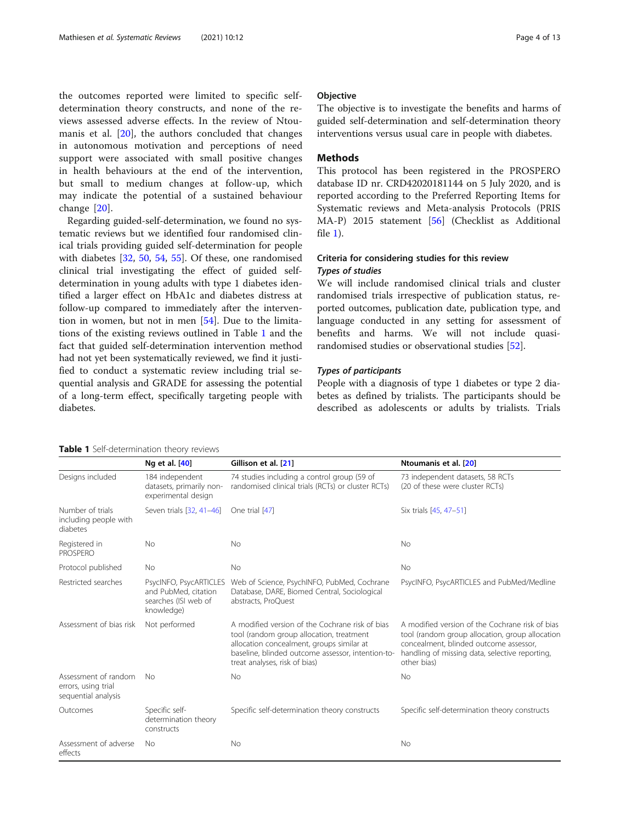<span id="page-3-0"></span>the outcomes reported were limited to specific selfdetermination theory constructs, and none of the reviews assessed adverse effects. In the review of Ntoumanis et al. [[20\]](#page-10-0), the authors concluded that changes in autonomous motivation and perceptions of need support were associated with small positive changes in health behaviours at the end of the intervention, but small to medium changes at follow-up, which may indicate the potential of a sustained behaviour change [[20](#page-10-0)].

Regarding guided-self-determination, we found no systematic reviews but we identified four randomised clinical trials providing guided self-determination for people with diabetes [[32,](#page-11-0) [50](#page-11-0), [54,](#page-11-0) [55](#page-11-0)]. Of these, one randomised clinical trial investigating the effect of guided selfdetermination in young adults with type 1 diabetes identified a larger effect on HbA1c and diabetes distress at follow-up compared to immediately after the intervention in women, but not in men [\[54](#page-11-0)]. Due to the limitations of the existing reviews outlined in Table 1 and the fact that guided self-determination intervention method had not yet been systematically reviewed, we find it justified to conduct a systematic review including trial sequential analysis and GRADE for assessing the potential of a long-term effect, specifically targeting people with diabetes.

# **Objective**

The objective is to investigate the benefits and harms of guided self-determination and self-determination theory interventions versus usual care in people with diabetes.

# **Methods**

This protocol has been registered in the PROSPERO database ID nr. CRD42020181144 on 5 July 2020, and is reported according to the Preferred Reporting Items for Systematic reviews and Meta-analysis Protocols (PRIS MA-P) 2015 statement [[56](#page-11-0)] (Checklist as Additional file  $1$ ).

# Criteria for considering studies for this review Types of studies

We will include randomised clinical trials and cluster randomised trials irrespective of publication status, reported outcomes, publication date, publication type, and language conducted in any setting for assessment of benefits and harms. We will not include quasirandomised studies or observational studies [[52\]](#page-11-0).

# Types of participants

People with a diagnosis of type 1 diabetes or type 2 diabetes as defined by trialists. The participants should be described as adolescents or adults by trialists. Trials

|                                                                    | Ng et al. [40]                                                                       | Gillison et al. [21]                                                                                                                                                                                                           | Ntoumanis et al. [20]                                                                                                                                                                                         |
|--------------------------------------------------------------------|--------------------------------------------------------------------------------------|--------------------------------------------------------------------------------------------------------------------------------------------------------------------------------------------------------------------------------|---------------------------------------------------------------------------------------------------------------------------------------------------------------------------------------------------------------|
| Designs included                                                   | 184 independent<br>datasets, primarily non-<br>experimental design                   | 74 studies including a control group (59 of<br>randomised clinical trials (RCTs) or cluster RCTs)                                                                                                                              | 73 independent datasets, 58 RCTs<br>(20 of these were cluster RCTs)                                                                                                                                           |
| Number of trials<br>including people with<br>diabetes              | Seven trials [32, 41-46]                                                             | One trial [47]                                                                                                                                                                                                                 | Six trials [45, 47-51]                                                                                                                                                                                        |
| Registered in<br><b>PROSPERO</b>                                   | <b>No</b>                                                                            | <b>No</b>                                                                                                                                                                                                                      | <b>No</b>                                                                                                                                                                                                     |
| Protocol published                                                 | <b>No</b>                                                                            | <b>No</b>                                                                                                                                                                                                                      | No.                                                                                                                                                                                                           |
| Restricted searches                                                | PsycINFO, PsycARTICLES<br>and PubMed, citation<br>searches (ISI web of<br>knowledge) | Web of Science, PsychINFO, PubMed, Cochrane<br>Database, DARE, Biomed Central, Sociological<br>abstracts, ProQuest                                                                                                             | PsycINFO, PsycARTICLES and PubMed/Medline                                                                                                                                                                     |
| Assessment of bias risk                                            | Not performed                                                                        | A modified version of the Cochrane risk of bias<br>tool (random group allocation, treatment<br>allocation concealment, groups similar at<br>baseline, blinded outcome assessor, intention-to-<br>treat analyses, risk of bias) | A modified version of the Cochrane risk of bias<br>tool (random group allocation, group allocation<br>concealment, blinded outcome assessor,<br>handling of missing data, selective reporting,<br>other bias) |
| Assessment of random<br>errors, using trial<br>sequential analysis | <b>No</b>                                                                            | <b>No</b>                                                                                                                                                                                                                      | <b>No</b>                                                                                                                                                                                                     |
| Outcomes                                                           | Specific self-<br>determination theory<br>constructs                                 | Specific self-determination theory constructs                                                                                                                                                                                  | Specific self-determination theory constructs                                                                                                                                                                 |
| Assessment of adverse<br>effects                                   | <b>No</b>                                                                            | <b>No</b>                                                                                                                                                                                                                      | <b>No</b>                                                                                                                                                                                                     |

#### Table 1 Self-determination theory reviews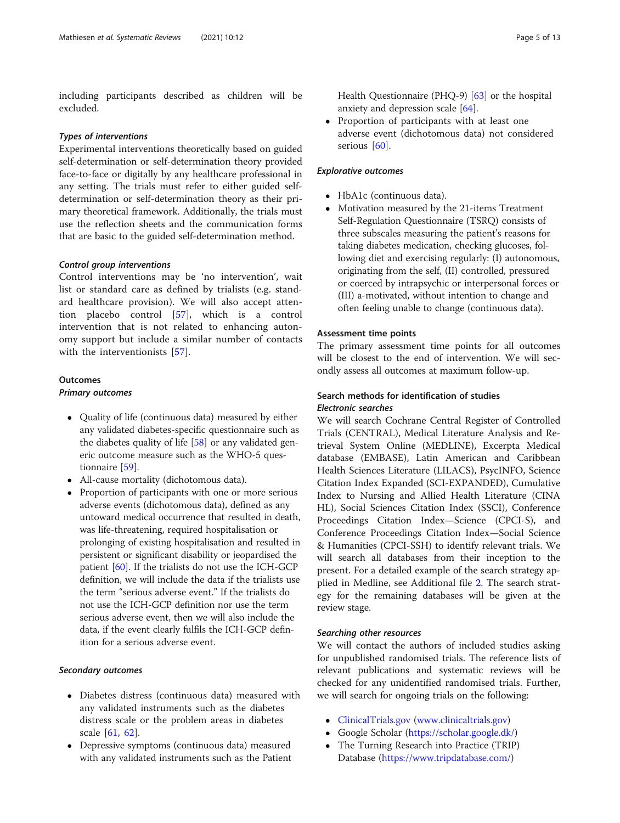including participants described as children will be excluded.

# Types of interventions

Experimental interventions theoretically based on guided self-determination or self-determination theory provided face-to-face or digitally by any healthcare professional in any setting. The trials must refer to either guided selfdetermination or self-determination theory as their primary theoretical framework. Additionally, the trials must use the reflection sheets and the communication forms that are basic to the guided self-determination method.

# Control group interventions

Control interventions may be 'no intervention', wait list or standard care as defined by trialists (e.g. standard healthcare provision). We will also accept attention placebo control [[57\]](#page-11-0), which is a control intervention that is not related to enhancing autonomy support but include a similar number of contacts with the interventionists [[57\]](#page-11-0).

# **Outcomes**

Primary outcomes

- Quality of life (continuous data) measured by either any validated diabetes-specific questionnaire such as the diabetes quality of life [\[58](#page-11-0)] or any validated generic outcome measure such as the WHO-5 questionnaire [[59](#page-11-0)].
- All-cause mortality (dichotomous data).
- Proportion of participants with one or more serious adverse events (dichotomous data), defined as any untoward medical occurrence that resulted in death, was life-threatening, required hospitalisation or prolonging of existing hospitalisation and resulted in persistent or significant disability or jeopardised the patient [[60](#page-11-0)]. If the trialists do not use the ICH-GCP definition, we will include the data if the trialists use the term "serious adverse event." If the trialists do not use the ICH-GCP definition nor use the term serious adverse event, then we will also include the data, if the event clearly fulfils the ICH-GCP definition for a serious adverse event.

# Secondary outcomes

- Diabetes distress (continuous data) measured with any validated instruments such as the diabetes distress scale or the problem areas in diabetes scale [\[61](#page-11-0), [62](#page-11-0)].
- Depressive symptoms (continuous data) measured with any validated instruments such as the Patient

Health Questionnaire (PHQ-9) [[63](#page-11-0)] or the hospital anxiety and depression scale [[64](#page-11-0)].

• Proportion of participants with at least one adverse event (dichotomous data) not considered serious [[60](#page-11-0)].

# Explorative outcomes

- HbA1c (continuous data).
- Motivation measured by the 21-items Treatment Self-Regulation Questionnaire (TSRQ) consists of three subscales measuring the patient's reasons for taking diabetes medication, checking glucoses, following diet and exercising regularly: (I) autonomous, originating from the self, (II) controlled, pressured or coerced by intrapsychic or interpersonal forces or (III) a-motivated, without intention to change and often feeling unable to change (continuous data).

### Assessment time points

The primary assessment time points for all outcomes will be closest to the end of intervention. We will secondly assess all outcomes at maximum follow-up.

# Search methods for identification of studies Electronic searches

We will search Cochrane Central Register of Controlled Trials (CENTRAL), Medical Literature Analysis and Retrieval System Online (MEDLINE), Excerpta Medical database (EMBASE), Latin American and Caribbean Health Sciences Literature (LILACS), PsycINFO, Science Citation Index Expanded (SCI-EXPANDED), Cumulative Index to Nursing and Allied Health Literature (CINA HL), Social Sciences Citation Index (SSCI), Conference Proceedings Citation Index—Science (CPCI-S), and Conference Proceedings Citation Index—Social Science & Humanities (CPCI-SSH) to identify relevant trials. We will search all databases from their inception to the present. For a detailed example of the search strategy applied in Medline, see Additional file [2](#page-10-0). The search strategy for the remaining databases will be given at the review stage.

# Searching other resources

We will contact the authors of included studies asking for unpublished randomised trials. The reference lists of relevant publications and systematic reviews will be checked for any unidentified randomised trials. Further, we will search for ongoing trials on the following:

- [ClinicalTrials.gov](http://clinicaltrials.gov) ([www.clinicaltrials.gov\)](http://www.clinicaltrials.gov)
- Google Scholar [\(https://scholar.google.dk/](https://scholar.google.dk/))
- The Turning Research into Practice (TRIP) Database ([https://www.tripdatabase.com/\)](https://www.tripdatabase.com/)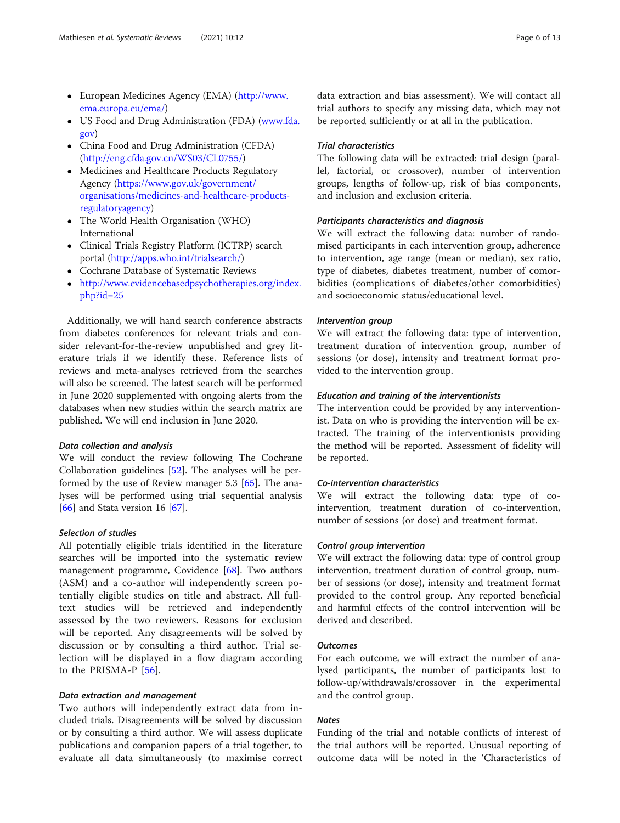- European Medicines Agency (EMA) ([http://www.](http://www.ema.europa.eu/ema/) [ema.europa.eu/ema/](http://www.ema.europa.eu/ema/))
- US Food and Drug Administration (FDA) [\(www.fda.](http://www.fda.gov) [gov\)](http://www.fda.gov)
- China Food and Drug Administration (CFDA) ([http://eng.cfda.gov.cn/WS03/CL0755/\)](http://eng.cfda.gov.cn/WS03/CL0755/)
- Medicines and Healthcare Products Regulatory Agency ([https://www.gov.uk/government/](https://www.gov.uk/government/organisations/medicines-and-healthcare-products-regulatoryagency) [organisations/medicines-and-healthcare-products](https://www.gov.uk/government/organisations/medicines-and-healthcare-products-regulatoryagency)[regulatoryagency\)](https://www.gov.uk/government/organisations/medicines-and-healthcare-products-regulatoryagency)
- The World Health Organisation (WHO) International
- Clinical Trials Registry Platform (ICTRP) search portal ([http://apps.who.int/trialsearch/\)](http://apps.who.int/trialsearch/)
- Cochrane Database of Systematic Reviews
- [http://www.evidencebasedpsychotherapies.org/index.](http://www.evidencebasedpsychotherapies.org/index.php?id=25) [php?id=25](http://www.evidencebasedpsychotherapies.org/index.php?id=25)

Additionally, we will hand search conference abstracts from diabetes conferences for relevant trials and consider relevant-for-the-review unpublished and grey literature trials if we identify these. Reference lists of reviews and meta-analyses retrieved from the searches will also be screened. The latest search will be performed in June 2020 supplemented with ongoing alerts from the databases when new studies within the search matrix are published. We will end inclusion in June 2020.

#### Data collection and analysis

We will conduct the review following The Cochrane Collaboration guidelines [[52\]](#page-11-0). The analyses will be performed by the use of Review manager 5.3 [[65\]](#page-11-0). The analyses will be performed using trial sequential analysis [[66\]](#page-11-0) and Stata version 16 [\[67\]](#page-11-0).

# Selection of studies

All potentially eligible trials identified in the literature searches will be imported into the systematic review management programme, Covidence [[68](#page-11-0)]. Two authors (ASM) and a co-author will independently screen potentially eligible studies on title and abstract. All fulltext studies will be retrieved and independently assessed by the two reviewers. Reasons for exclusion will be reported. Any disagreements will be solved by discussion or by consulting a third author. Trial selection will be displayed in a flow diagram according to the PRISMA-P [[56](#page-11-0)].

#### Data extraction and management

Two authors will independently extract data from included trials. Disagreements will be solved by discussion or by consulting a third author. We will assess duplicate publications and companion papers of a trial together, to evaluate all data simultaneously (to maximise correct

data extraction and bias assessment). We will contact all trial authors to specify any missing data, which may not be reported sufficiently or at all in the publication.

# Trial characteristics

The following data will be extracted: trial design (parallel, factorial, or crossover), number of intervention groups, lengths of follow-up, risk of bias components, and inclusion and exclusion criteria.

# Participants characteristics and diagnosis

We will extract the following data: number of randomised participants in each intervention group, adherence to intervention, age range (mean or median), sex ratio, type of diabetes, diabetes treatment, number of comorbidities (complications of diabetes/other comorbidities) and socioeconomic status/educational level.

# Intervention group

We will extract the following data: type of intervention, treatment duration of intervention group, number of sessions (or dose), intensity and treatment format provided to the intervention group.

#### Education and training of the interventionists

The intervention could be provided by any interventionist. Data on who is providing the intervention will be extracted. The training of the interventionists providing the method will be reported. Assessment of fidelity will be reported.

# Co-intervention characteristics

We will extract the following data: type of cointervention, treatment duration of co-intervention, number of sessions (or dose) and treatment format.

### Control group intervention

We will extract the following data: type of control group intervention, treatment duration of control group, number of sessions (or dose), intensity and treatment format provided to the control group. Any reported beneficial and harmful effects of the control intervention will be derived and described.

# **Outcomes**

For each outcome, we will extract the number of analysed participants, the number of participants lost to follow-up/withdrawals/crossover in the experimental and the control group.

# Notes

Funding of the trial and notable conflicts of interest of the trial authors will be reported. Unusual reporting of outcome data will be noted in the 'Characteristics of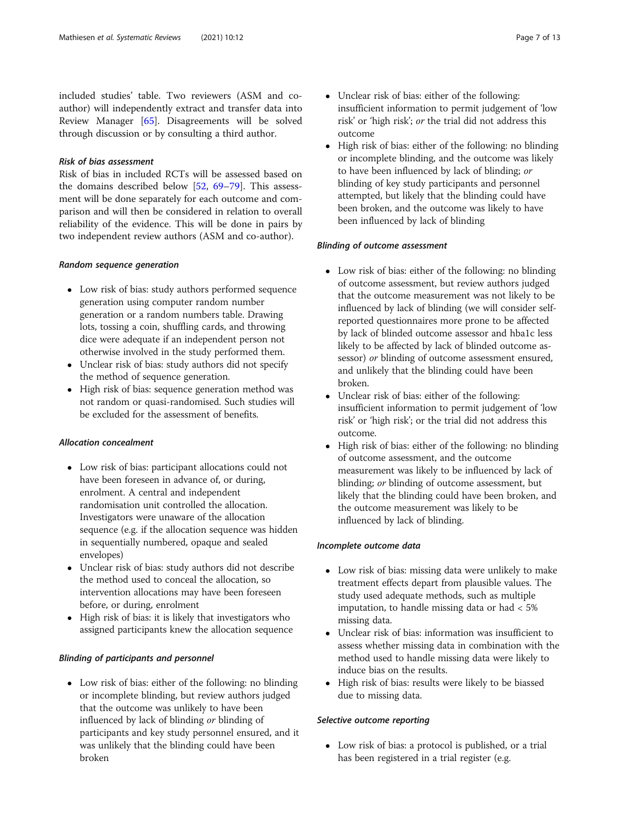included studies' table. Two reviewers (ASM and coauthor) will independently extract and transfer data into Review Manager [\[65](#page-11-0)]. Disagreements will be solved through discussion or by consulting a third author.

# Risk of bias assessment

Risk of bias in included RCTs will be assessed based on the domains described below [\[52](#page-11-0), [69](#page-11-0)–[79](#page-12-0)]. This assessment will be done separately for each outcome and comparison and will then be considered in relation to overall reliability of the evidence. This will be done in pairs by two independent review authors (ASM and co-author).

# Random sequence generation

- Low risk of bias: study authors performed sequence generation using computer random number generation or a random numbers table. Drawing lots, tossing a coin, shuffling cards, and throwing dice were adequate if an independent person not otherwise involved in the study performed them.
- Unclear risk of bias: study authors did not specify the method of sequence generation.
- High risk of bias: sequence generation method was not random or quasi-randomised. Such studies will be excluded for the assessment of benefits.

# Allocation concealment

- Low risk of bias: participant allocations could not have been foreseen in advance of, or during, enrolment. A central and independent randomisation unit controlled the allocation. Investigators were unaware of the allocation sequence (e.g. if the allocation sequence was hidden in sequentially numbered, opaque and sealed envelopes)
- Unclear risk of bias: study authors did not describe the method used to conceal the allocation, so intervention allocations may have been foreseen before, or during, enrolment
- High risk of bias: it is likely that investigators who assigned participants knew the allocation sequence

# Blinding of participants and personnel

• Low risk of bias: either of the following: no blinding or incomplete blinding, but review authors judged that the outcome was unlikely to have been influenced by lack of blinding or blinding of participants and key study personnel ensured, and it was unlikely that the blinding could have been broken

- Unclear risk of bias: either of the following: insufficient information to permit judgement of 'low risk' or 'high risk'; or the trial did not address this outcome
- High risk of bias: either of the following: no blinding or incomplete blinding, and the outcome was likely to have been influenced by lack of blinding; or blinding of key study participants and personnel attempted, but likely that the blinding could have been broken, and the outcome was likely to have been influenced by lack of blinding

# Blinding of outcome assessment

- Low risk of bias: either of the following: no blinding of outcome assessment, but review authors judged that the outcome measurement was not likely to be influenced by lack of blinding (we will consider selfreported questionnaires more prone to be affected by lack of blinded outcome assessor and hba1c less likely to be affected by lack of blinded outcome assessor) or blinding of outcome assessment ensured, and unlikely that the blinding could have been broken.
- Unclear risk of bias: either of the following: insufficient information to permit judgement of 'low risk' or 'high risk'; or the trial did not address this outcome.
- High risk of bias: either of the following: no blinding of outcome assessment, and the outcome measurement was likely to be influenced by lack of blinding; or blinding of outcome assessment, but likely that the blinding could have been broken, and the outcome measurement was likely to be influenced by lack of blinding.

# Incomplete outcome data

- Low risk of bias: missing data were unlikely to make treatment effects depart from plausible values. The study used adequate methods, such as multiple imputation, to handle missing data or had < 5% missing data.
- Unclear risk of bias: information was insufficient to assess whether missing data in combination with the method used to handle missing data were likely to induce bias on the results.
- High risk of bias: results were likely to be biassed due to missing data.

#### Selective outcome reporting

• Low risk of bias: a protocol is published, or a trial has been registered in a trial register (e.g.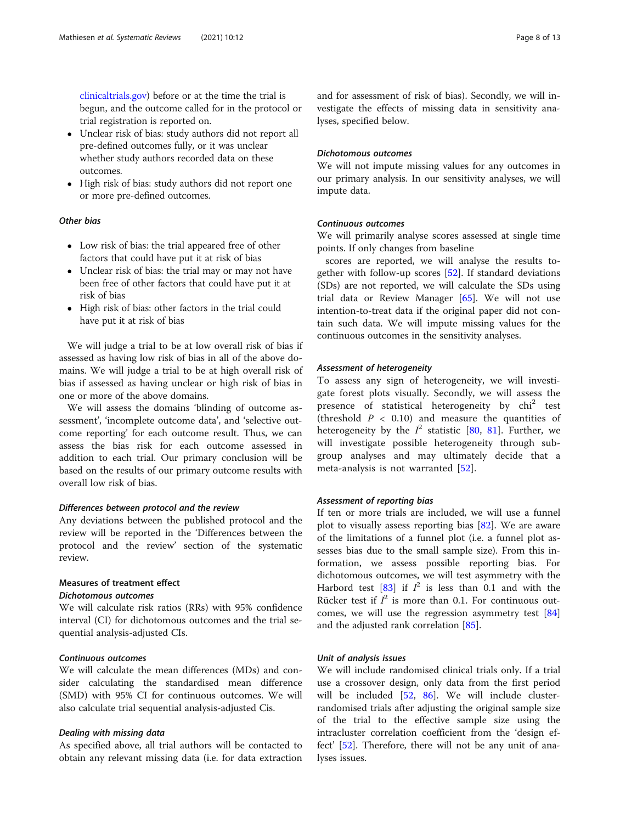[clinicaltrials.gov\)](http://clinicaltrials.gov) before or at the time the trial is begun, and the outcome called for in the protocol or trial registration is reported on.

- Unclear risk of bias: study authors did not report all pre-defined outcomes fully, or it was unclear whether study authors recorded data on these outcomes.
- High risk of bias: study authors did not report one or more pre-defined outcomes.

# Other bias

- Low risk of bias: the trial appeared free of other factors that could have put it at risk of bias
- Unclear risk of bias: the trial may or may not have been free of other factors that could have put it at risk of bias
- High risk of bias: other factors in the trial could have put it at risk of bias

We will judge a trial to be at low overall risk of bias if assessed as having low risk of bias in all of the above domains. We will judge a trial to be at high overall risk of bias if assessed as having unclear or high risk of bias in one or more of the above domains.

We will assess the domains 'blinding of outcome assessment', 'incomplete outcome data', and 'selective outcome reporting' for each outcome result. Thus, we can assess the bias risk for each outcome assessed in addition to each trial. Our primary conclusion will be based on the results of our primary outcome results with overall low risk of bias.

# Differences between protocol and the review

Any deviations between the published protocol and the review will be reported in the 'Differences between the protocol and the review' section of the systematic review.

# Measures of treatment effect Dichotomous outcomes

We will calculate risk ratios (RRs) with 95% confidence interval (CI) for dichotomous outcomes and the trial sequential analysis-adjusted CIs.

# Continuous outcomes

We will calculate the mean differences (MDs) and consider calculating the standardised mean difference (SMD) with 95% CI for continuous outcomes. We will also calculate trial sequential analysis-adjusted Cis.

#### Dealing with missing data

As specified above, all trial authors will be contacted to obtain any relevant missing data (i.e. for data extraction and for assessment of risk of bias). Secondly, we will investigate the effects of missing data in sensitivity analyses, specified below.

# Dichotomous outcomes

We will not impute missing values for any outcomes in our primary analysis. In our sensitivity analyses, we will impute data.

# Continuous outcomes

We will primarily analyse scores assessed at single time points. If only changes from baseline

scores are reported, we will analyse the results together with follow-up scores [\[52\]](#page-11-0). If standard deviations (SDs) are not reported, we will calculate the SDs using trial data or Review Manager [\[65\]](#page-11-0). We will not use intention-to-treat data if the original paper did not contain such data. We will impute missing values for the continuous outcomes in the sensitivity analyses.

# Assessment of heterogeneity

To assess any sign of heterogeneity, we will investigate forest plots visually. Secondly, we will assess the presence of statistical heterogeneity by chi<sup>2</sup> test (threshold  $P < 0.10$ ) and measure the quantities of heterogeneity by the  $I^2$  statistic [[80,](#page-12-0) [81](#page-12-0)]. Further, we will investigate possible heterogeneity through subgroup analyses and may ultimately decide that a meta-analysis is not warranted [\[52](#page-11-0)].

#### Assessment of reporting bias

If ten or more trials are included, we will use a funnel plot to visually assess reporting bias [[82\]](#page-12-0). We are aware of the limitations of a funnel plot (i.e. a funnel plot assesses bias due to the small sample size). From this information, we assess possible reporting bias. For dichotomous outcomes, we will test asymmetry with the Harbord test [[83\]](#page-12-0) if  $I^2$  is less than 0.1 and with the Rücker test if  $I^2$  is more than 0.1. For continuous outcomes, we will use the regression asymmetry test [[84](#page-12-0)] and the adjusted rank correlation [\[85](#page-12-0)].

# Unit of analysis issues

We will include randomised clinical trials only. If a trial use a crossover design, only data from the first period will be included [[52](#page-11-0), [86](#page-12-0)]. We will include clusterrandomised trials after adjusting the original sample size of the trial to the effective sample size using the intracluster correlation coefficient from the 'design effect' [[52\]](#page-11-0). Therefore, there will not be any unit of analyses issues.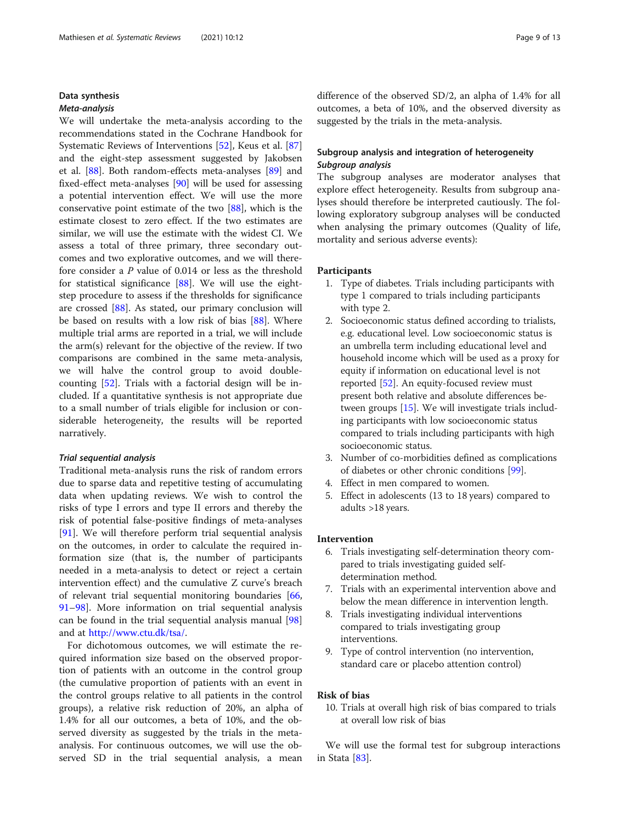# Data synthesis

#### Meta-analysis

We will undertake the meta-analysis according to the recommendations stated in the Cochrane Handbook for Systematic Reviews of Interventions [\[52](#page-11-0)], Keus et al. [[87](#page-12-0)] and the eight-step assessment suggested by Jakobsen et al. [\[88\]](#page-12-0). Both random-effects meta-analyses [\[89](#page-12-0)] and fixed-effect meta-analyses [\[90\]](#page-12-0) will be used for assessing a potential intervention effect. We will use the more conservative point estimate of the two [[88\]](#page-12-0), which is the estimate closest to zero effect. If the two estimates are similar, we will use the estimate with the widest CI. We assess a total of three primary, three secondary outcomes and two explorative outcomes, and we will therefore consider a P value of 0.014 or less as the threshold for statistical significance [[88\]](#page-12-0). We will use the eightstep procedure to assess if the thresholds for significance are crossed [\[88](#page-12-0)]. As stated, our primary conclusion will be based on results with a low risk of bias [[88\]](#page-12-0). Where multiple trial arms are reported in a trial, we will include the arm(s) relevant for the objective of the review. If two comparisons are combined in the same meta-analysis, we will halve the control group to avoid doublecounting [\[52](#page-11-0)]. Trials with a factorial design will be included. If a quantitative synthesis is not appropriate due to a small number of trials eligible for inclusion or considerable heterogeneity, the results will be reported narratively.

#### Trial sequential analysis

Traditional meta-analysis runs the risk of random errors due to sparse data and repetitive testing of accumulating data when updating reviews. We wish to control the risks of type I errors and type II errors and thereby the risk of potential false-positive findings of meta-analyses [[91\]](#page-12-0). We will therefore perform trial sequential analysis on the outcomes, in order to calculate the required information size (that is, the number of participants needed in a meta-analysis to detect or reject a certain intervention effect) and the cumulative Z curve's breach of relevant trial sequential monitoring boundaries [[66](#page-11-0), [91](#page-12-0)–[98](#page-12-0)]. More information on trial sequential analysis can be found in the trial sequential analysis manual [[98](#page-12-0)] and at [http://www.ctu.dk/tsa/.](http://www.ctu.dk/tsa/)

For dichotomous outcomes, we will estimate the required information size based on the observed proportion of patients with an outcome in the control group (the cumulative proportion of patients with an event in the control groups relative to all patients in the control groups), a relative risk reduction of 20%, an alpha of 1.4% for all our outcomes, a beta of 10%, and the observed diversity as suggested by the trials in the metaanalysis. For continuous outcomes, we will use the observed SD in the trial sequential analysis, a mean

difference of the observed SD/2, an alpha of 1.4% for all outcomes, a beta of 10%, and the observed diversity as suggested by the trials in the meta-analysis.

# Subgroup analysis and integration of heterogeneity Subgroup analysis

The subgroup analyses are moderator analyses that explore effect heterogeneity. Results from subgroup analyses should therefore be interpreted cautiously. The following exploratory subgroup analyses will be conducted when analysing the primary outcomes (Quality of life, mortality and serious adverse events):

### Participants

- 1. Type of diabetes. Trials including participants with type 1 compared to trials including participants with type 2.
- 2. Socioeconomic status defined according to trialists, e.g. educational level. Low socioeconomic status is an umbrella term including educational level and household income which will be used as a proxy for equity if information on educational level is not reported [[52](#page-11-0)]. An equity-focused review must present both relative and absolute differences between groups [[15](#page-10-0)]. We will investigate trials including participants with low socioeconomic status compared to trials including participants with high socioeconomic status.
- 3. Number of co-morbidities defined as complications of diabetes or other chronic conditions [[99](#page-12-0)].
- 4. Effect in men compared to women.
- 5. Effect in adolescents (13 to 18 years) compared to adults >18 years.

# Intervention

- 6. Trials investigating self-determination theory compared to trials investigating guided selfdetermination method.
- 7. Trials with an experimental intervention above and below the mean difference in intervention length.
- 8. Trials investigating individual interventions compared to trials investigating group interventions.
- 9. Type of control intervention (no intervention, standard care or placebo attention control)

# Risk of bias

10. Trials at overall high risk of bias compared to trials at overall low risk of bias

We will use the formal test for subgroup interactions in Stata [[83\]](#page-12-0).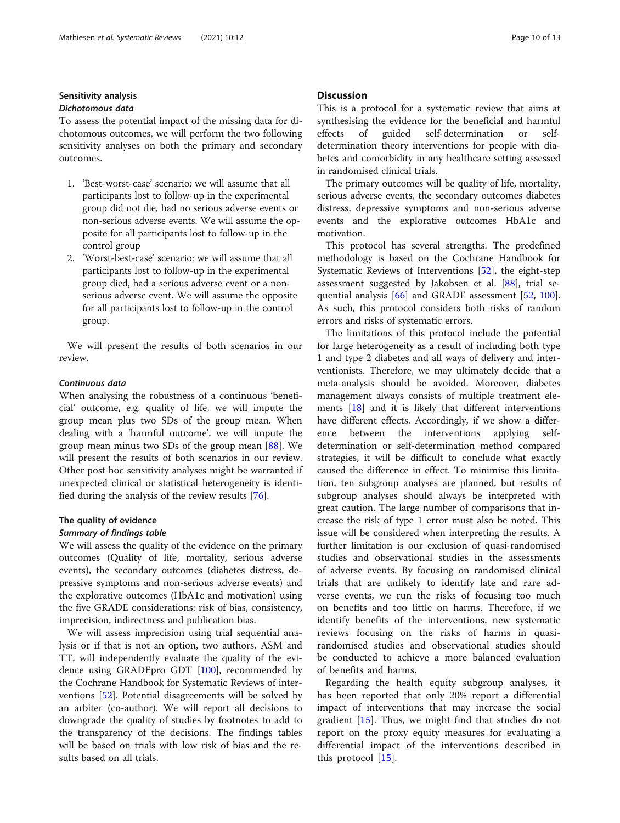# Sensitivity analysis

# Dichotomous data

To assess the potential impact of the missing data for dichotomous outcomes, we will perform the two following sensitivity analyses on both the primary and secondary outcomes.

- 1. 'Best-worst-case' scenario: we will assume that all participants lost to follow-up in the experimental group did not die, had no serious adverse events or non-serious adverse events. We will assume the opposite for all participants lost to follow-up in the control group
- 2. 'Worst-best-case' scenario: we will assume that all participants lost to follow-up in the experimental group died, had a serious adverse event or a nonserious adverse event. We will assume the opposite for all participants lost to follow-up in the control group.

We will present the results of both scenarios in our review.

# Continuous data

When analysing the robustness of a continuous 'beneficial' outcome, e.g. quality of life, we will impute the group mean plus two SDs of the group mean. When dealing with a 'harmful outcome', we will impute the group mean minus two SDs of the group mean [[88\]](#page-12-0). We will present the results of both scenarios in our review. Other post hoc sensitivity analyses might be warranted if unexpected clinical or statistical heterogeneity is identified during the analysis of the review results [\[76](#page-11-0)].

# The quality of evidence

# Summary of findings table

We will assess the quality of the evidence on the primary outcomes (Quality of life, mortality, serious adverse events), the secondary outcomes (diabetes distress, depressive symptoms and non-serious adverse events) and the explorative outcomes (HbA1c and motivation) using the five GRADE considerations: risk of bias, consistency, imprecision, indirectness and publication bias.

We will assess imprecision using trial sequential analysis or if that is not an option, two authors, ASM and TT, will independently evaluate the quality of the evidence using GRADEpro GDT [[100](#page-12-0)], recommended by the Cochrane Handbook for Systematic Reviews of interventions [\[52\]](#page-11-0). Potential disagreements will be solved by an arbiter (co-author). We will report all decisions to downgrade the quality of studies by footnotes to add to the transparency of the decisions. The findings tables will be based on trials with low risk of bias and the results based on all trials.

# **Discussion**

This is a protocol for a systematic review that aims at synthesising the evidence for the beneficial and harmful effects of guided self-determination or selfdetermination theory interventions for people with diabetes and comorbidity in any healthcare setting assessed in randomised clinical trials.

The primary outcomes will be quality of life, mortality, serious adverse events, the secondary outcomes diabetes distress, depressive symptoms and non-serious adverse events and the explorative outcomes HbA1c and motivation.

This protocol has several strengths. The predefined methodology is based on the Cochrane Handbook for Systematic Reviews of Interventions [\[52](#page-11-0)], the eight-step assessment suggested by Jakobsen et al. [\[88](#page-12-0)], trial se-quential analysis [\[66](#page-11-0)] and GRADE assessment [[52,](#page-11-0) [100](#page-12-0)]. As such, this protocol considers both risks of random errors and risks of systematic errors.

The limitations of this protocol include the potential for large heterogeneity as a result of including both type 1 and type 2 diabetes and all ways of delivery and interventionists. Therefore, we may ultimately decide that a meta-analysis should be avoided. Moreover, diabetes management always consists of multiple treatment elements [[18\]](#page-10-0) and it is likely that different interventions have different effects. Accordingly, if we show a difference between the interventions applying selfdetermination or self-determination method compared strategies, it will be difficult to conclude what exactly caused the difference in effect. To minimise this limitation, ten subgroup analyses are planned, but results of subgroup analyses should always be interpreted with great caution. The large number of comparisons that increase the risk of type 1 error must also be noted. This issue will be considered when interpreting the results. A further limitation is our exclusion of quasi-randomised studies and observational studies in the assessments of adverse events. By focusing on randomised clinical trials that are unlikely to identify late and rare adverse events, we run the risks of focusing too much on benefits and too little on harms. Therefore, if we identify benefits of the interventions, new systematic reviews focusing on the risks of harms in quasirandomised studies and observational studies should be conducted to achieve a more balanced evaluation of benefits and harms.

Regarding the health equity subgroup analyses, it has been reported that only 20% report a differential impact of interventions that may increase the social gradient [\[15](#page-10-0)]. Thus, we might find that studies do not report on the proxy equity measures for evaluating a differential impact of the interventions described in this protocol [\[15](#page-10-0)].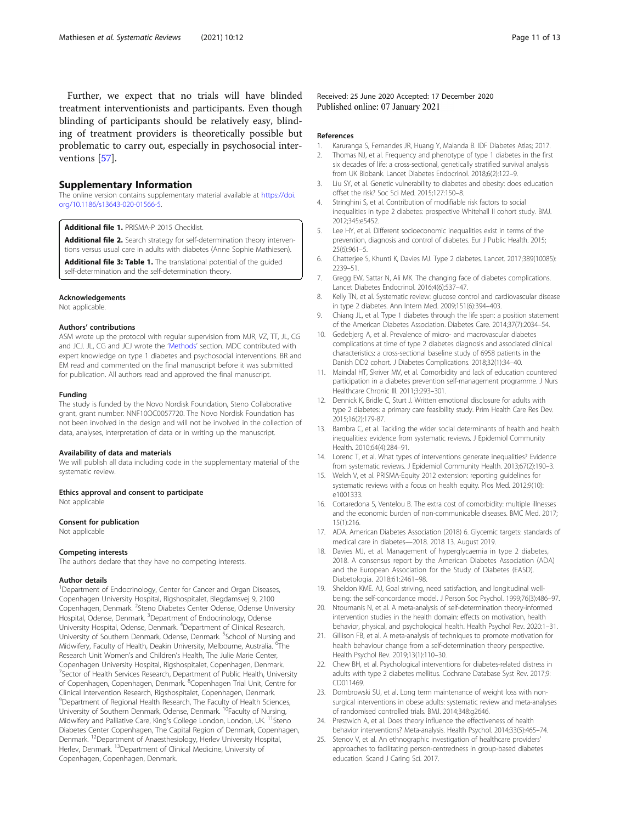<span id="page-10-0"></span>Further, we expect that no trials will have blinded treatment interventionists and participants. Even though blinding of participants should be relatively easy, blinding of treatment providers is theoretically possible but problematic to carry out, especially in psychosocial inter-ventions [\[57\]](#page-11-0).

# Supplementary Information

The online version contains supplementary material available at [https://doi.](https://doi.org/10.1186/s13643-020-01566-5) [org/10.1186/s13643-020-01566-5.](https://doi.org/10.1186/s13643-020-01566-5)

Additional file 1. PRISMA-P 2015 Checklist.

Additional file 2. Search strategy for self-determination theory interventions versus usual care in adults with diabetes (Anne Sophie Mathiesen).

Additional file 3: Table 1. The translational potential of the quided self-determination and the self-determination theory.

#### Acknowledgements

Not applicable.

#### Authors' contributions

ASM wrote up the protocol with regular supervision from MJR, VZ, TT, JL, CG and JCJ. JL, CG and JCJ wrote the '[Methods](#page-3-0)' section. MDC contributed with expert knowledge on type 1 diabetes and psychosocial interventions. BR and EM read and commented on the final manuscript before it was submitted for publication. All authors read and approved the final manuscript.

#### Funding

The study is funded by the Novo Nordisk Foundation, Steno Collaborative grant, grant number: NNF10OC0057720. The Novo Nordisk Foundation has not been involved in the design and will not be involved in the collection of data, analyses, interpretation of data or in writing up the manuscript.

#### Availability of data and materials

We will publish all data including code in the supplementary material of the systematic review.

#### Ethics approval and consent to participate

Not applicable

#### Consent for publication

Not applicable

#### Competing interests

The authors declare that they have no competing interests.

#### Author details

<sup>1</sup>Department of Endocrinology, Center for Cancer and Organ Diseases, Copenhagen University Hospital, Rigshospitalet, Blegdamsvej 9, 2100 Copenhagen, Denmark. <sup>2</sup>Steno Diabetes Center Odense, Odense University Hospital, Odense, Denmark. <sup>3</sup>Department of Endocrinology, Odense University Hospital, Odense, Denmark. <sup>4</sup> Department of Clinical Research, University of Southern Denmark, Odense, Denmark. <sup>5</sup>School of Nursing and Midwifery, Faculty of Health, Deakin University, Melbourne, Australia. <sup>6</sup>The Research Unit Women's and Children's Health, The Julie Marie Center, Copenhagen University Hospital, Rigshospitalet, Copenhagen, Denmark. <sup>7</sup>Sector of Health Services Research, Department of Public Health, University of Copenhagen, Copenhagen, Denmark. <sup>8</sup>Copenhagen Trial Unit, Centre for Clinical Intervention Research, Rigshospitalet, Copenhagen, Denmark. <sup>9</sup>Department of Regional Health Research, The Faculty of Health Sciences, University of Southern Denmark, Odense, Denmark. <sup>10</sup>Faculty of Nursing, Midwifery and Palliative Care, King's College London, London, UK. <sup>11</sup>Steno Diabetes Center Copenhagen, The Capital Region of Denmark, Copenhagen, Denmark. 12Department of Anaesthesiology, Herlev University Hospital, Herlev, Denmark. <sup>13</sup>Department of Clinical Medicine, University of Copenhagen, Copenhagen, Denmark.

Received: 25 June 2020 Accepted: 17 December 2020 Published online: 07 January 2021

#### References

- 1. Karuranga S, Fernandes JR, Huang Y, Malanda B. IDF Diabetes Atlas; 2017. 2. Thomas NJ, et al. Frequency and phenotype of type 1 diabetes in the first six decades of life: a cross-sectional, genetically stratified survival analysis from UK Biobank. Lancet Diabetes Endocrinol. 2018;6(2):122–9.
- 3. Liu SY, et al. Genetic vulnerability to diabetes and obesity: does education offset the risk? Soc Sci Med. 2015;127:150–8.
- 4. Stringhini S, et al. Contribution of modifiable risk factors to social inequalities in type 2 diabetes: prospective Whitehall II cohort study. BMJ. 2012;345:e5452.
- 5. Lee HY, et al. Different socioeconomic inequalities exist in terms of the prevention, diagnosis and control of diabetes. Eur J Public Health. 2015; 25(6):961–5.
- 6. Chatterjee S, Khunti K, Davies MJ. Type 2 diabetes. Lancet. 2017;389(10085): 2239–51.
- 7. Gregg EW, Sattar N, Ali MK. The changing face of diabetes complications. Lancet Diabetes Endocrinol. 2016;4(6):537–47.
- 8. Kelly TN, et al. Systematic review: glucose control and cardiovascular disease in type 2 diabetes. Ann Intern Med. 2009;151(6):394–403.
- 9. Chiang JL, et al. Type 1 diabetes through the life span: a position statement of the American Diabetes Association. Diabetes Care. 2014;37(7):2034–54.
- 10. Gedebjerg A, et al. Prevalence of micro- and macrovascular diabetes complications at time of type 2 diabetes diagnosis and associated clinical characteristics: a cross-sectional baseline study of 6958 patients in the Danish DD2 cohort. J Diabetes Complications. 2018;32(1):34–40.
- 11. Maindal HT, Skriver MV, et al. Comorbidity and lack of education countered participation in a diabetes prevention self-management programme. J Nurs Healthcare Chronic Ill. 2011;3:293–301.
- 12. Dennick K, Bridle C, Sturt J. Written emotional disclosure for adults with type 2 diabetes: a primary care feasibility study. Prim Health Care Res Dev. 2015;16(2):179-87.
- 13. Bambra C, et al. Tackling the wider social determinants of health and health inequalities: evidence from systematic reviews. J Epidemiol Community Health. 2010;64(4):284–91.
- 14. Lorenc T, et al. What types of interventions generate inequalities? Evidence from systematic reviews. J Epidemiol Community Health. 2013;67(2):190–3.
- 15. Welch V, et al. PRISMA-Equity 2012 extension: reporting guidelines for systematic reviews with a focus on health equity. Plos Med. 2012;9(10): e1001333.
- 16. Cortaredona S, Ventelou B. The extra cost of comorbidity: multiple illnesses and the economic burden of non-communicable diseases. BMC Med. 2017; 15(1):216.
- 17. ADA. American Diabetes Association (2018) 6. Glycemic targets: standards of medical care in diabetes—2018. 2018 13. August 2019.
- 18. Davies MJ, et al. Management of hyperglycaemia in type 2 diabetes, 2018. A consensus report by the American Diabetes Association (ADA) and the European Association for the Study of Diabetes (EASD). Diabetologia. 2018;61:2461–98.
- 19. Sheldon KME. AJ, Goal striving, need satisfaction, and longitudinal wellbeing: the self-concordance model. J Person Soc Psychol. 1999;76(3):486–97.
- 20. Ntoumanis N, et al. A meta-analysis of self-determination theory-informed intervention studies in the health domain: effects on motivation, health behavior, physical, and psychological health. Health Psychol Rev. 2020:1–31.
- 21. Gillison FB, et al. A meta-analysis of techniques to promote motivation for health behaviour change from a self-determination theory perspective. Health Psychol Rev. 2019;13(1):110–30.
- 22. Chew BH, et al. Psychological interventions for diabetes-related distress in adults with type 2 diabetes mellitus. Cochrane Database Syst Rev. 2017;9: CD011469.
- 23. Dombrowski SU, et al. Long term maintenance of weight loss with nonsurgical interventions in obese adults: systematic review and meta-analyses of randomised controlled trials. BMJ. 2014;348:g2646.
- 24. Prestwich A, et al. Does theory influence the effectiveness of health behavior interventions? Meta-analysis. Health Psychol. 2014;33(5):465–74.
- 25. Stenov V, et al. An ethnographic investigation of healthcare providers' approaches to facilitating person-centredness in group-based diabetes education. Scand J Caring Sci. 2017.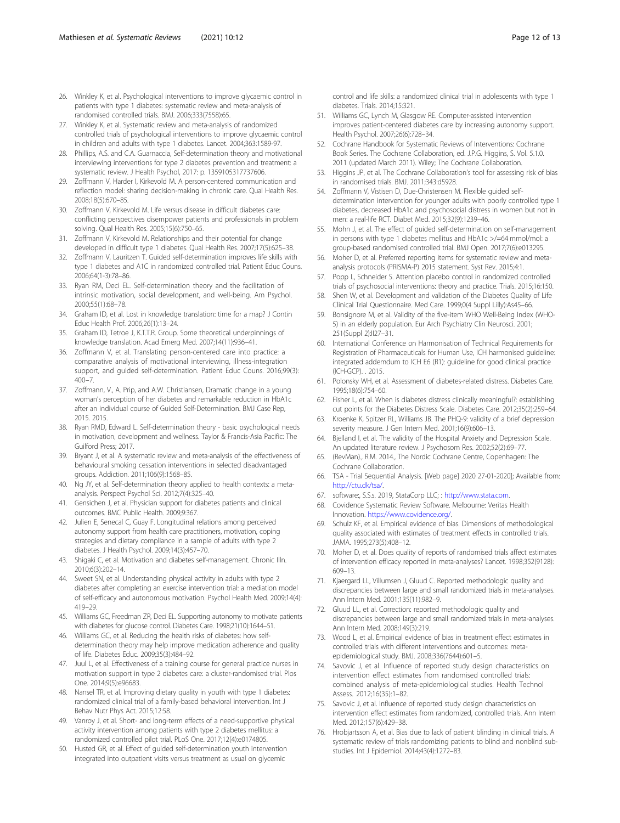- <span id="page-11-0"></span>26. Winkley K, et al. Psychological interventions to improve glycaemic control in patients with type 1 diabetes: systematic review and meta-analysis of randomised controlled trials. BMJ. 2006;333(7558):65.
- 27. Winkley K, et al. Systematic review and meta-analysis of randomized controlled trials of psychological interventions to improve glycaemic control in children and adults with type 1 diabetes. Lancet. 2004;363:1589-97.
- 28. Phillips, A.S. and C.A. Guarnaccia, Self-determination theory and motivational interviewing interventions for type 2 diabetes prevention and treatment: a systematic review. J Health Psychol, 2017: p. 1359105317737606.
- 29. Zoffmann V, Harder I, Kirkevold M. A person-centered communication and reflection model: sharing decision-making in chronic care. Qual Health Res. 2008;18(5):670–85.
- 30. Zoffmann V, Kirkevold M. Life versus disease in difficult diabetes care: conflicting perspectives disempower patients and professionals in problem solving. Qual Health Res. 2005;15(6):750–65.
- 31. Zoffmann V, Kirkevold M. Relationships and their potential for change developed in difficult type 1 diabetes. Qual Health Res. 2007;17(5):625–38.
- 32. Zoffmann V, Lauritzen T. Guided self-determination improves life skills with type 1 diabetes and A1C in randomized controlled trial. Patient Educ Couns. 2006;64(1-3):78–86.
- 33. Ryan RM, Deci EL. Self-determination theory and the facilitation of intrinsic motivation, social development, and well-being. Am Psychol. 2000;55(1):68–78.
- 34. Graham ID, et al. Lost in knowledge translation: time for a map? J Contin Educ Health Prof. 2006;26(1):13–24.
- 35. Graham ID, Tetroe J, K.T.T.R. Group. Some theoretical underpinnings of knowledge translation. Acad Emerg Med. 2007;14(11):936–41.
- 36. Zoffmann V, et al. Translating person-centered care into practice: a comparative analysis of motivational interviewing, illness-integration support, and guided self-determination. Patient Educ Couns. 2016;99(3): 400–7.
- 37. Zoffmann, V., A. Prip, and A.W. Christiansen, Dramatic change in a young woman's perception of her diabetes and remarkable reduction in HbA1c after an individual course of Guided Self-Determination. BMJ Case Rep, 2015. 2015.
- 38. Ryan RMD, Edward L. Self-determination theory basic psychological needs in motivation, development and wellness. Taylor & Francis-Asia Pacific: The Guilford Press; 2017.
- 39. Bryant J, et al. A systematic review and meta-analysis of the effectiveness of behavioural smoking cessation interventions in selected disadvantaged groups. Addiction. 2011;106(9):1568–85.
- 40. Ng JY, et al. Self-determination theory applied to health contexts: a metaanalysis. Perspect Psychol Sci. 2012;7(4):325–40.
- 41. Gensichen J, et al. Physician support for diabetes patients and clinical outcomes. BMC Public Health. 2009;9:367.
- 42. Julien E, Senecal C, Guay F. Longitudinal relations among perceived autonomy support from health care practitioners, motivation, coping strategies and dietary compliance in a sample of adults with type 2 diabetes. J Health Psychol. 2009;14(3):457–70.
- 43. Shigaki C, et al. Motivation and diabetes self-management. Chronic Illn. 2010;6(3):202–14.
- 44. Sweet SN, et al. Understanding physical activity in adults with type 2 diabetes after completing an exercise intervention trial: a mediation model of self-efficacy and autonomous motivation. Psychol Health Med. 2009;14(4): 419–29.
- 45. Williams GC, Freedman ZR, Deci EL. Supporting autonomy to motivate patients with diabetes for glucose control. Diabetes Care. 1998;21(10):1644–51.
- 46. Williams GC, et al. Reducing the health risks of diabetes: how selfdetermination theory may help improve medication adherence and quality of life. Diabetes Educ. 2009;35(3):484–92.
- 47. Juul L, et al. Effectiveness of a training course for general practice nurses in motivation support in type 2 diabetes care: a cluster-randomised trial. Plos One. 2014;9(5):e96683.
- 48. Nansel TR, et al. Improving dietary quality in youth with type 1 diabetes: randomized clinical trial of a family-based behavioral intervention. Int J Behav Nutr Phys Act. 2015;12:58.
- 49. Vanroy J, et al. Short- and long-term effects of a need-supportive physical activity intervention among patients with type 2 diabetes mellitus: a randomized controlled pilot trial. PLoS One. 2017;12(4):e0174805.
- 50. Husted GR, et al. Effect of guided self-determination youth intervention integrated into outpatient visits versus treatment as usual on glycemic

control and life skills: a randomized clinical trial in adolescents with type 1 diabetes. Trials. 2014;15:321.

- 51. Williams GC, Lynch M, Glasgow RE. Computer-assisted intervention improves patient-centered diabetes care by increasing autonomy support. Health Psychol. 2007;26(6):728–34.
- 52. Cochrane Handbook for Systematic Reviews of Interventions: Cochrane Book Series. The Cochrane Collaboration, ed. J.P.G. Higgins, S. Vol. 5.1.0. 2011 (updated March 2011). Wiley; The Cochrane Collaboration.
- 53. Higgins JP, et al. The Cochrane Collaboration's tool for assessing risk of bias in randomised trials. BMJ. 2011;343:d5928.
- 54. Zoffmann V, Vistisen D, Due-Christensen M. Flexible guided selfdetermination intervention for younger adults with poorly controlled type 1 diabetes, decreased HbA1c and psychosocial distress in women but not in men: a real-life RCT. Diabet Med. 2015;32(9):1239–46.
- 55. Mohn J, et al. The effect of guided self-determination on self-management in persons with type 1 diabetes mellitus and HbA1c >/=64 mmol/mol: a group-based randomised controlled trial. BMJ Open. 2017;7(6):e013295.
- 56. Moher D, et al. Preferred reporting items for systematic review and metaanalysis protocols (PRISMA-P) 2015 statement. Syst Rev. 2015;4:1.
- 57. Popp L, Schneider S. Attention placebo control in randomized controlled trials of psychosocial interventions: theory and practice. Trials. 2015;16:150.
- 58. Shen W, et al. Development and validation of the Diabetes Quality of Life Clinical Trial Questionnaire. Med Care. 1999;0(4 Suppl Lilly):As45–66.
- 59. Bonsignore M, et al. Validity of the five-item WHO Well-Being Index (WHO-5) in an elderly population. Eur Arch Psychiatry Clin Neurosci. 2001; 251(Suppl 2):II27–31.
- 60. International Conference on Harmonisation of Technical Requirements for Registration of Pharmaceuticals for Human Use, ICH harmonised guideline: integrated addemdum to ICH E6 (R1): guideline for good clinical practice (ICH-GCP). . 2015.
- 61. Polonsky WH, et al. Assessment of diabetes-related distress. Diabetes Care. 1995;18(6):754–60.
- Fisher L, et al. When is diabetes distress clinically meaningful?: establishing cut points for the Diabetes Distress Scale. Diabetes Care. 2012;35(2):259–64.
- 63. Kroenke K, Spitzer RL, Williams JB. The PHQ-9: validity of a brief depression severity measure. J Gen Intern Med. 2001;16(9):606–13.
- Bjelland I, et al. The validity of the Hospital Anxiety and Depression Scale. An updated literature review. J Psychosom Res. 2002;52(2):69–77.
- 65. (RevMan)., R.M. 2014., The Nordic Cochrane Centre, Copenhagen: The Cochrane Collaboration.
- TSA Trial Sequential Analysis. [Web page] 2020 27-01-2020]; Available from: [http://ctu.dk/tsa/.](http://ctu.dk/tsa/)
- 67. software:, S.S.s. 2019, StataCorp LLC; : [http://www.stata.com.](http://www.stata.com)
- 68. Covidence Systematic Review Software. Melbourne: Veritas Health Innovation. <https://www.covidence.org/>.
- Schulz KF, et al. Empirical evidence of bias. Dimensions of methodological quality associated with estimates of treatment effects in controlled trials. JAMA. 1995;273(5):408–12.
- 70. Moher D, et al. Does quality of reports of randomised trials affect estimates of intervention efficacy reported in meta-analyses? Lancet. 1998;352(9128): 609–13.
- 71. Kjaergard LL, Villumsen J, Gluud C. Reported methodologic quality and discrepancies between large and small randomized trials in meta-analyses. Ann Intern Med. 2001;135(11):982–9.
- 72. Gluud LL, et al. Correction: reported methodologic quality and discrepancies between large and small randomized trials in meta-analyses. Ann Intern Med. 2008;149(3):219.
- 73. Wood L, et al. Empirical evidence of bias in treatment effect estimates in controlled trials with different interventions and outcomes: metaepidemiological study. BMJ. 2008;336(7644):601–5.
- 74. Savovic J, et al. Influence of reported study design characteristics on intervention effect estimates from randomised controlled trials: combined analysis of meta-epidemiological studies. Health Technol Assess. 2012;16(35):1–82.
- 75. Savovic J, et al. Influence of reported study design characteristics on intervention effect estimates from randomized, controlled trials. Ann Intern Med. 2012;157(6):429–38.
- 76. Hrobjartsson A, et al. Bias due to lack of patient blinding in clinical trials. A systematic review of trials randomizing patients to blind and nonblind substudies. Int J Epidemiol. 2014;43(4):1272–83.